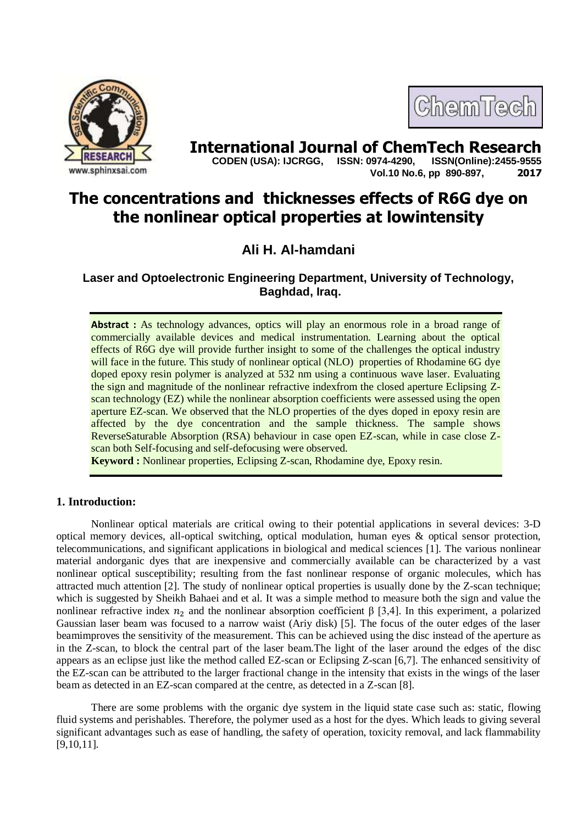



**International Journal of ChemTech Research <br>CODEN (USA): IJCRGG. ISSN: 0974-4290. ISSN(Online):2455-9555 CODEN (USA): IJCRGG, ISSN: 0974-4290, Vol.10 No.6, pp 890-897, 2017**

# **The concentrations and thicknesses effects of R6G dye on the nonlinear optical properties at lowintensity**

**Ali H. Al-hamdani**

**Laser and Optoelectronic Engineering Department, University of Technology, Baghdad, Iraq.**

**Abstract :** As technology advances, optics will play an enormous role in a broad range of commercially available devices and medical instrumentation. Learning about the optical effects of R6G dye will provide further insight to some of the challenges the optical industry will face in the future. This study of nonlinear optical (NLO) properties of Rhodamine 6G dye doped epoxy resin polymer is analyzed at 532 nm using a continuous wave laser. Evaluating the sign and magnitude of the nonlinear refractive indexfrom the closed aperture Eclipsing Zscan technology (EZ) while the nonlinear absorption coefficients were assessed using the open aperture EZ-scan. We observed that the NLO properties of the dyes doped in epoxy resin are affected by the dye concentration and the sample thickness. The sample shows ReverseSaturable Absorption (RSA) behaviour in case open EZ-scan, while in case close Zscan both Self-focusing and self-defocusing were observed.

**Keyword :** Nonlinear properties, Eclipsing Z-scan, Rhodamine dye, Epoxy resin.

# **1. Introduction:**

Nonlinear optical materials are critical owing to their potential applications in several devices: 3-D optical memory devices, all-optical switching, optical modulation, human eyes & optical sensor protection, telecommunications, and significant applications in biological and medical sciences [1]. The various nonlinear material andorganic dyes that are inexpensive and commercially available can be characterized by a vast nonlinear optical susceptibility; resulting from the fast nonlinear response of organic molecules, which has attracted much attention [2]. The study of nonlinear optical properties is usually done by the Z-scan technique; which is suggested by Sheikh Bahaei and et al. It was a simple method to measure both the sign and value the nonlinear refractive index  $n_2$  and the nonlinear absorption coefficient  $\beta$  [3,4]. In this experiment, a polarized Gaussian laser beam was focused to a narrow waist (Ariy disk) [5]. The focus of the outer edges of the laser beamimproves the sensitivity of the measurement. This can be achieved using the disc instead of the aperture as in the Z-scan, to block the central part of the laser beam.The light of the laser around the edges of the disc appears as an eclipse just like the method called EZ-scan or Eclipsing Z-scan [6,7]. The enhanced sensitivity of the EZ-scan can be attributed to the larger fractional change in the intensity that exists in the wings of the laser beam as detected in an EZ-scan compared at the centre, as detected in a Z-scan [8].

There are some problems with the organic dye system in the liquid state case such as: static, flowing fluid systems and perishables. Therefore, the polymer used as a host for the dyes. Which leads to giving several significant advantages such as ease of handling, the safety of operation, toxicity removal, and lack flammability [9,10,11].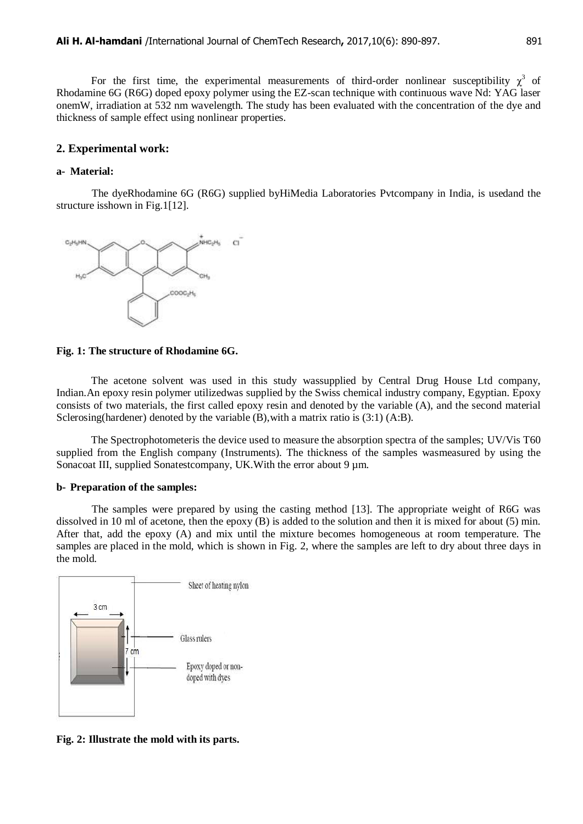For the first time, the experimental measurements of third-order nonlinear susceptibility  $\chi^3$  of Rhodamine 6G (R6G) doped epoxy polymer using the EZ-scan technique with continuous wave Nd: YAG laser onemW, irradiation at 532 nm wavelength. The study has been evaluated with the concentration of the dye and thickness of sample effect using nonlinear properties.

### **2. Experimental work:**

# **a- Material:**

The dyeRhodamine 6G (R6G) supplied byHiMedia Laboratories Pvtcompany in India, is usedand the structure isshown in Fig.1[12].



**Fig. 1: The structure of Rhodamine 6G.**

The acetone solvent was used in this study wassupplied by Central Drug House Ltd company, Indian.An epoxy resin polymer utilizedwas supplied by the Swiss chemical industry company, Egyptian. Epoxy consists of two materials, the first called epoxy resin and denoted by the variable (A), and the second material Sclerosing(hardener) denoted by the variable (B),with a matrix ratio is (3:1) (A:B).

The Spectrophotometeris the device used to measure the absorption spectra of the samples; UV/Vis T60 supplied from the English company (Instruments). The thickness of the samples wasmeasured by using the Sonacoat III, supplied Sonatestcompany, UK. With the error about 9  $\mu$ m.

## **b- Preparation of the samples:**

The samples were prepared by using the casting method [13]. The appropriate weight of R6G was dissolved in 10 ml of acetone, then the epoxy (B) is added to the solution and then it is mixed for about (5) min. After that, add the epoxy (A) and mix until the mixture becomes homogeneous at room temperature. The samples are placed in the mold, which is shown in Fig. 2, where the samples are left to dry about three days in the mold.



**Fig. 2: Illustrate the mold with its parts.**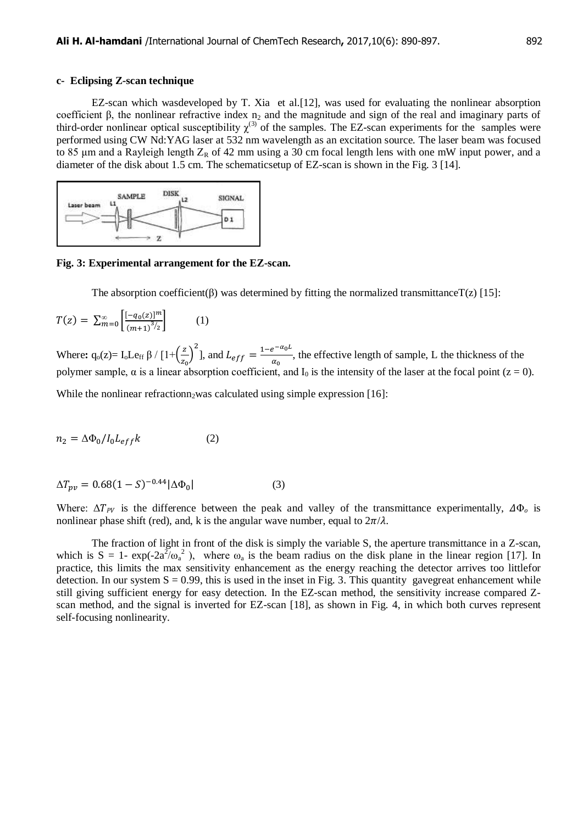#### **c- Eclipsing Z-scan technique**

EZ-scan which wasdeveloped by T. Xia et al.[12], was used for evaluating the nonlinear absorption coefficient β, the nonlinear refractive index  $n_2$  and the magnitude and sign of the real and imaginary parts of third-order nonlinear optical susceptibility  $\chi^{(3)}$  of the samples. The EZ-scan experiments for the samples were performed using CW Nd:YAG laser at 532 nm wavelength as an excitation source. The laser beam was focused to 85  $\mu$ m and a Rayleigh length  $Z_R$  of 42 mm using a 30 cm focal length lens with one mW input power, and a diameter of the disk about 1.5 cm. The schematicsetup of EZ-scan is shown in the Fig. 3 [14].



**Fig. 3: Experimental arrangement for the EZ-scan.**

The absorption coefficient( $\beta$ ) was determined by fitting the normalized transmittanceT( $z$ ) [15]:

$$
T(z) = \sum_{m=0}^{\infty} \left[ \frac{[-q_0(z)]^m}{(m+1)^{3/2}} \right] \tag{1}
$$

Where:  $q_0(z) = I_0 L e_{ff} \beta / [1 + (\frac{z}{z})$  $\left(\frac{z}{z_0}\right)^2$ ], and  $L_{eff} = \frac{1-e^{-}}{\alpha_0}$  $\frac{e^{-\phi}}{\alpha_0}$ , the effective length of sample, L the thickness of the polymer sample, α is a linear absorption coefficient, and  $I_0$  is the intensity of the laser at the focal point (z = 0). While the nonlinear refractionn, was calculated using simple expression  $[16]$ :

$$
n_2 = \Delta \Phi_0 / I_0 L_{eff} k \tag{2}
$$

$$
\Delta T_{\nu\nu} = 0.68(1 - S)^{-0.44} |\Delta \Phi_0| \tag{3}
$$

Where:  $\Delta T_{PV}$  is the difference between the peak and valley of the transmittance experimentally,  $\Delta \Phi_o$  is nonlinear phase shift (red), and, k is the angular wave number, equal to  $2\pi/\lambda$ .

The fraction of light in front of the disk is simply the variable S, the aperture transmittance in a Z-scan, which is  $S = 1 - \exp(-2a^2/\omega_a^2)$ , where  $\omega_a$  is the beam radius on the disk plane in the linear region [17]. In practice, this limits the max sensitivity enhancement as the energy reaching the detector arrives too littlefor detection. In our system  $S = 0.99$ , this is used in the inset in Fig. 3. This quantity gavegreat enhancement while still giving sufficient energy for easy detection. In the EZ-scan method, the sensitivity increase compared Zscan method, and the signal is inverted for EZ-scan [18], as shown in Fig. 4, in which both curves represent self-focusing nonlinearity.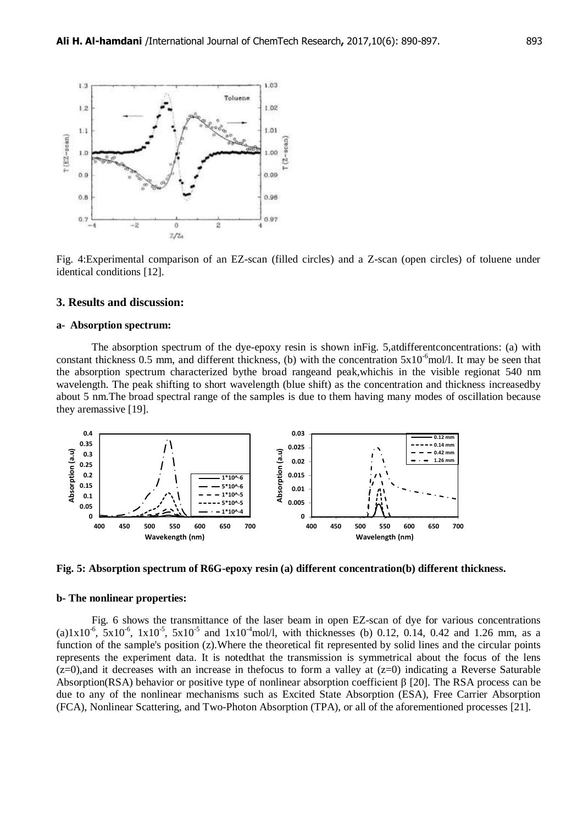

Fig. 4:Experimental comparison of an EZ-scan (filled circles) and a Z-scan (open circles) of toluene under identical conditions [12].

### **3. Results and discussion:**

#### **a- Absorption spectrum:**

The absorption spectrum of the dye-epoxy resin is shown inFig. 5,atdifferentconcentrations: (a) with constant thickness 0.5 mm, and different thickness, (b) with the concentration  $5x10^{-6}$ mol/l. It may be seen that the absorption spectrum characterized bythe broad rangeand peak,whichis in the visible regionat 540 nm wavelength. The peak shifting to short wavelength (blue shift) as the concentration and thickness increasedby about 5 nm.The broad spectral range of the samples is due to them having many modes of oscillation because they aremassive [19].





#### **b- The nonlinear properties:**

Fig. 6 shows the transmittance of the laser beam in open EZ-scan of dye for various concentrations (a)1x10<sup>-6</sup>,  $5x10^{-6}$ ,  $1x10^{-5}$ ,  $5x10^{-5}$  and  $1x10^{-4}$ mol/l, with thicknesses (b) 0.12, 0.14, 0.42 and 1.26 mm, as a function of the sample's position (z).Where the theoretical fit represented by solid lines and the circular points represents the experiment data. It is notedthat the transmission is symmetrical about the focus of the lens  $(z=0)$ , and it decreases with an increase in the focus to form a valley at  $(z=0)$  indicating a Reverse Saturable Absorption(RSA) behavior or positive type of nonlinear absorption coefficient  $\beta$  [20]. The RSA process can be due to any of the nonlinear mechanisms such as Excited State Absorption (ESA), Free Carrier Absorption (FCA), Nonlinear Scattering, and Two-Photon Absorption (TPA), or all of the aforementioned processes [21].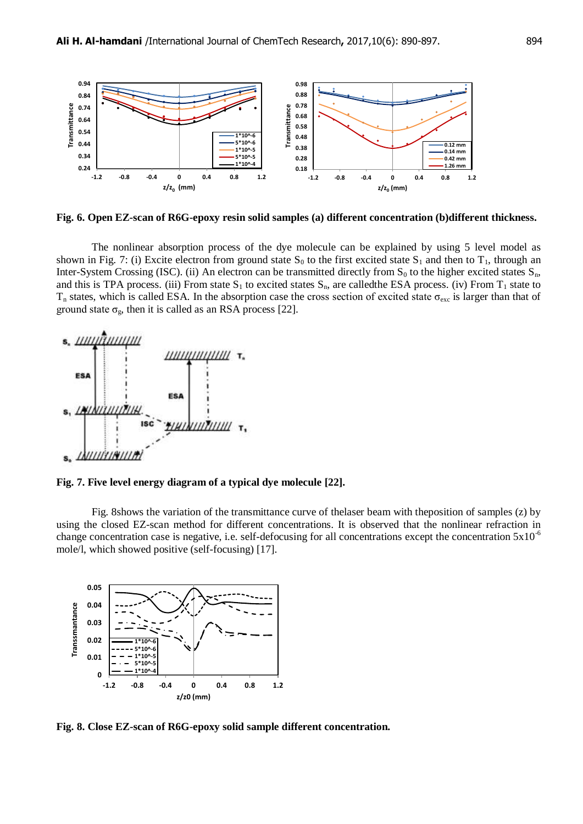

**Fig. 6. Open EZ-scan of R6G-epoxy resin solid samples (a) different concentration (b)different thickness.**

The nonlinear absorption process of the dye molecule can be explained by using 5 level model as shown in Fig. 7: (i) Excite electron from ground state  $S_0$  to the first excited state  $S_1$  and then to  $T_1$ , through an Inter-System Crossing (ISC). (ii) An electron can be transmitted directly from  $S_0$  to the higher excited states  $S_n$ , and this is TPA process. (iii) From state  $S_1$  to excited states  $S_n$ , are calledthe ESA process. (iv) From  $T_1$  state to  $T_n$  states, which is called ESA. In the absorption case the cross section of excited state  $\sigma_{\rm exc}$  is larger than that of ground state  $\sigma_{\rm g}$ , then it is called as an RSA process [22].



**Fig. 7. Five level energy diagram of a typical dye molecule [22].**

Fig. 8shows the variation of the transmittance curve of thelaser beam with theposition of samples (z) by using the closed EZ-scan method for different concentrations. It is observed that the nonlinear refraction in change concentration case is negative, i.e. self-defocusing for all concentrations except the concentration  $5x10^{-6}$ mole/l, which showed positive (self-focusing) [17].



**Fig. 8. Close EZ-scan of R6G-epoxy solid sample different concentration.**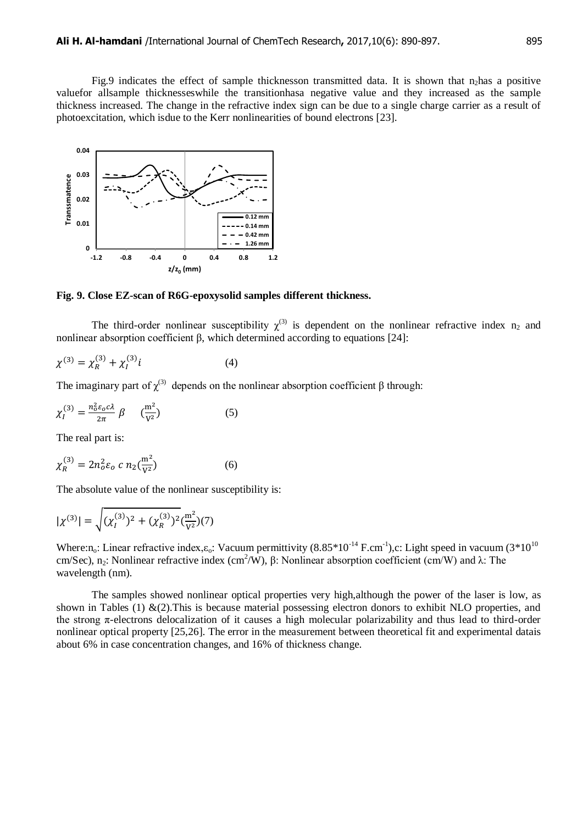Fig.9 indicates the effect of sample thicknesson transmitted data. It is shown that n<sub>2</sub>has a positive valuefor allsample thicknesseswhile the transitionhasa negative value and they increased as the sample thickness increased. The change in the refractive index sign can be due to a single charge carrier as a result of photoexcitation, which isdue to the Kerr nonlinearities of bound electrons [23].



**Fig. 9. Close EZ-scan of R6G-epoxysolid samples different thickness.**

The third-order nonlinear susceptibility  $\chi^{(3)}$  is dependent on the nonlinear refractive index n<sub>2</sub> and nonlinear absorption coefficient β, which determined according to equations [24]:

$$
\chi^{(3)} = \chi_R^{(3)} + \chi_I^{(3)} i \tag{4}
$$

The imaginary part of  $\chi^{(3)}$  depends on the nonlinear absorption coefficient  $\beta$  through:

$$
\chi_I^{(3)} = \frac{n_o^2 \varepsilon_o c \lambda}{2\pi} \beta \qquad (\frac{m^2}{V^2}) \tag{5}
$$

The real part is:

$$
\chi_R^{(3)} = 2n_o^2 \varepsilon_o \ c \ n_2(\frac{m^2}{V^2}) \tag{6}
$$

The absolute value of the nonlinear susceptibility is:

$$
|\chi^{(3)}| = \sqrt{(\chi_l^{(3)})^2 + (\chi_R^{(3)})^2} \left(\frac{m^2}{V^2}\right)(7)
$$

Where:n<sub>o</sub>: Linear refractive index, $\varepsilon_0$ : Vacuum permittivity (8.85\*10<sup>-14</sup> F.cm<sup>-1</sup>),c: Light speed in vacuum (3\*10<sup>10</sup>) cm/Sec), n<sub>2</sub>: Nonlinear refractive index (cm<sup>2</sup>/W), β: Nonlinear absorption coefficient (cm/W) and λ: The wavelength (nm).

The samples showed nonlinear optical properties very high,although the power of the laser is low, as shown in Tables (1)  $&(2)$ . This is because material possessing electron donors to exhibit NLO properties, and the strong π-electrons delocalization of it causes a high molecular polarizability and thus lead to third-order nonlinear optical property [25,26]. The error in the measurement between theoretical fit and experimental datais about 6% in case concentration changes, and 16% of thickness change.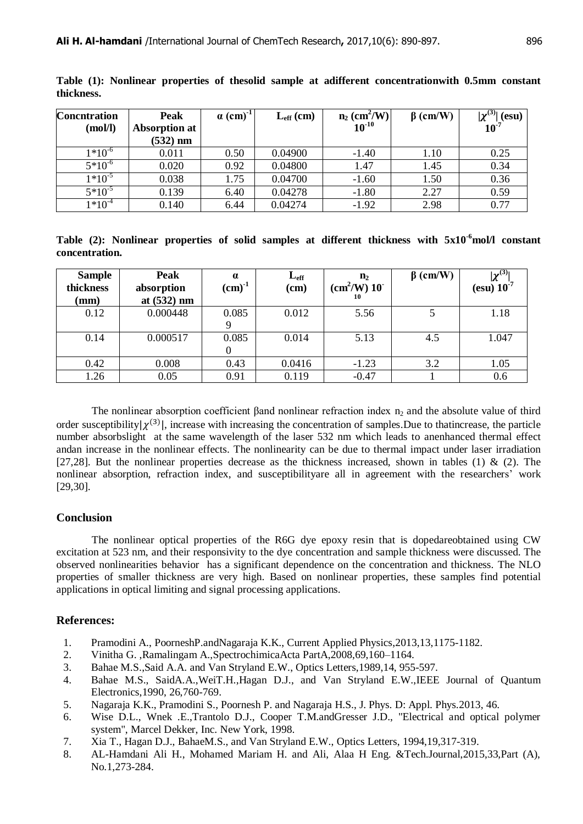| <b>Concntration</b>      | Peak                 | $\alpha$ (cm) <sup>-1</sup> | $L_{\rm eff}$ (cm) | $n_2$ (cm <sup>2</sup> /W) | $\beta$ (cm/W) | $ \mathbf{v}^{(3)} $<br>$(\mathbf{esu})$ |
|--------------------------|----------------------|-----------------------------|--------------------|----------------------------|----------------|------------------------------------------|
| (mol/l)                  | <b>Absorption at</b> |                             |                    | $10^{-10}$                 |                | $10^{-7}$                                |
|                          | $(532)$ nm           |                             |                    |                            |                |                                          |
| $1*10^{-6}$              | 0.011                | 0.50                        | 0.04900            | $-1.40$                    | 1.10           | 0.25                                     |
| $\overline{5^{*}10^{6}}$ | 0.020                | 0.92                        | 0.04800            | 1.47                       | 1.45           | 0.34                                     |
| $1*10^{-5}$              | 0.038                | 1.75                        | 0.04700            | $-1.60$                    | 1.50           | 0.36                                     |
| $5*10^{-5}$              | 0.139                | 6.40                        | 0.04278            | $-1.80$                    | 2.27           | 0.59                                     |
| $1*10^{-4}$              | 0.140                | 6.44                        | 0.04274            | $-1.92$                    | 2.98           | 0.77                                     |

**Table (1): Nonlinear properties of thesolid sample at adifferent concentrationwith 0.5mm constant thickness.**

**Table (2): Nonlinear properties of solid samples at different thickness with 5x10-6mol/l constant concentration.**

| <b>Sample</b><br>thickness<br>$(\mathbf{mm})$ | Peak<br>absorption<br>at $(532)$ nm | $\alpha$<br>$(cm)^{-1}$ | $L_{\text{eff}}$<br>(cm) | $\mathbf{n}_2$<br>$\rm (cm^2/W)$ 10 <sup>-</sup><br>10 | $\beta$ (cm/W) | $\mathbf{v}^{(3)}$<br>(esu) $10^{-7}$ |
|-----------------------------------------------|-------------------------------------|-------------------------|--------------------------|--------------------------------------------------------|----------------|---------------------------------------|
| 0.12                                          | 0.000448                            | 0.085                   | 0.012                    | 5.56                                                   |                | 1.18                                  |
| 0.14                                          | 0.000517                            | 0.085                   | 0.014                    | 5.13                                                   | 4.5            | 1.047                                 |
| 0.42                                          | 0.008                               | 0.43                    | 0.0416                   | $-1.23$                                                | 3.2            | 1.05                                  |
| 1.26                                          | 0.05                                | 0.91                    | 0.119                    | $-0.47$                                                |                | 0.6                                   |

The nonlinear absorption coefficient βand nonlinear refraction index  $n_2$  and the absolute value of third order susceptibility  $|\chi^{(3)}|$ , increase with increasing the concentration of samples. Due to thatincrease, the particle number absorbslight at the same wavelength of the laser 532 nm which leads to anenhanced thermal effect andan increase in the nonlinear effects. The nonlinearity can be due to thermal impact under laser irradiation [27,28]. But the nonlinear properties decrease as the thickness increased, shown in tables (1) & (2). The nonlinear absorption, refraction index, and susceptibilityare all in agreement with the researchers' work [29,30].

# **Conclusion**

The nonlinear optical properties of the R6G dye epoxy resin that is dopedareobtained using CW excitation at 523 nm, and their responsivity to the dye concentration and sample thickness were discussed. The observed nonlinearities behavior has a significant dependence on the concentration and thickness. The NLO properties of smaller thickness are very high. Based on nonlinear properties, these samples find potential applications in optical limiting and signal processing applications.

# **References:**

- 1. Pramodini A., PoorneshP.andNagaraja K.K., Current Applied Physics,2013,13,1175-1182.
- 2. Vinitha G. ,Ramalingam A.,SpectrochimicaActa PartA,2008,69,160–1164.
- 3. Bahae M.S.,Said A.A. and Van Stryland E.W., Optics Letters,1989,14, 955-597.
- 4. Bahae M.S., SaidA.A.,WeiT.H.,Hagan D.J., and Van Stryland E.W.,IEEE Journal of Quantum Electronics,1990, 26,760-769.
- 5. Nagaraja K.K., Pramodini S., Poornesh P. and Nagaraja H.S., J. Phys. D: Appl. Phys.2013, 46.
- 6. Wise D.L., Wnek .E.,Trantolo D.J., Cooper T.M.andGresser J.D., "Electrical and optical polymer system", Marcel Dekker, Inc. New York, 1998.
- 7. Xia T., Hagan D.J., BahaeM.S., and Van Stryland E.W., Optics Letters, 1994,19,317-319.
- 8. AL-Hamdani Ali H., Mohamed Mariam H. and Ali, Alaa H Eng. &Tech.Journal,2015,33,Part (A), No.1,273-284.